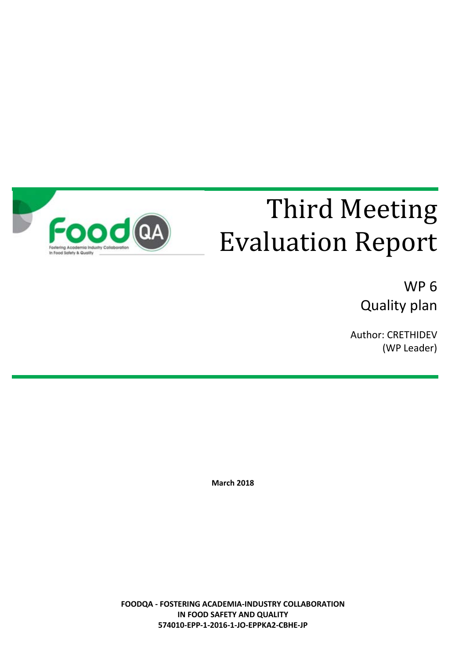

# Third Meeting Evaluation Report

WP 6 Quality plan

Author: CRETHIDEV (WP Leader)

**March 2018**

**FOODQA - FOSTERING ACADEMIA-INDUSTRY COLLABORATION IN FOOD SAFETY AND QUALITY 574010-EPP-1-2016-1-JO-EPPKA2-CBHE-JP**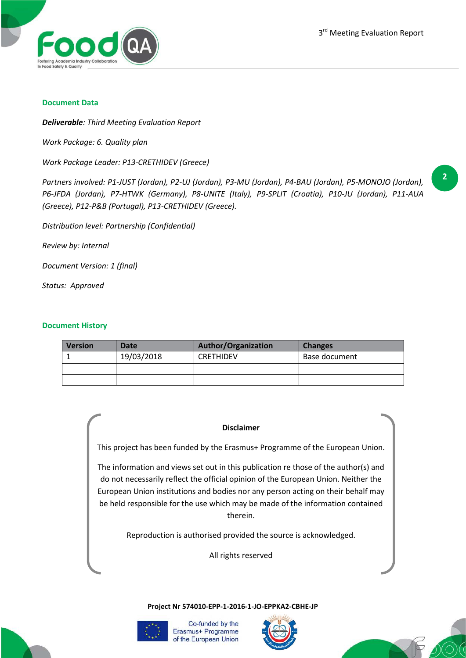

#### **Document Data**

*Deliverable: Third Meeting Evaluation Report*

*Work Package: 6. Quality plan*

*Work Package Leader: P13-CRETHIDEV (Greece)*

*Partners involved: P1-JUST (Jordan), P2-UJ (Jordan), P3-MU (Jordan), P4-BAU (Jordan), P5-MONOJO (Jordan), P6-JFDA (Jordan), P7-HTWK (Germany), P8-UNITE (Italy), P9-SPLIT (Croatia), P10-JU (Jordan), P11-AUA (Greece), P12-P&B (Portugal), P13-CRETHIDEV (Greece).*

*Distribution level: Partnership (Confidential)*

*Review by: Internal*

*Document Version: 1 (final)*

*Status: Approved*

#### **Document History**

| <b>Version</b> | Date       | <b>Author/Organization</b> | <b>Changes</b> |
|----------------|------------|----------------------------|----------------|
|                | 19/03/2018 | <b>CRETHIDEV</b>           | Base document  |
|                |            |                            |                |
|                |            |                            |                |

#### **Disclaimer**

This project has been funded by the Erasmus+ Programme of the European Union.

The information and views set out in this publication re those of the author(s) and do not necessarily reflect the official opinion of the European Union. Neither the European Union institutions and bodies nor any person acting on their behalf may be held responsible for the use which may be made of the information contained therein.

Reproduction is authorised provided the source is acknowledged.

All rights reserved

**Project Nr 574010-EPP-1-2016-1-JO-EPPKA2-CBHE-JP**



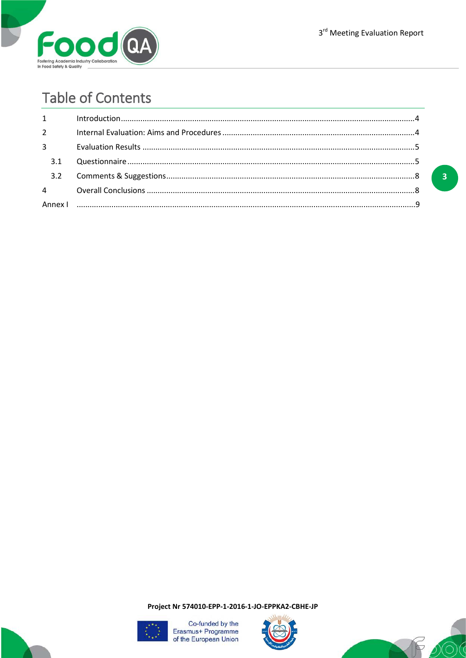

 $\overline{\mathbf{3}}$ 

## **Table of Contents**

| $1 \quad \blacksquare$ |  |
|------------------------|--|
| $2^{\sim}$             |  |
| $3^{\circ}$            |  |
| 3.1                    |  |
|                        |  |
|                        |  |
|                        |  |

Project Nr 574010-EPP-1-2016-1-JO-EPPKA2-CBHE-JP





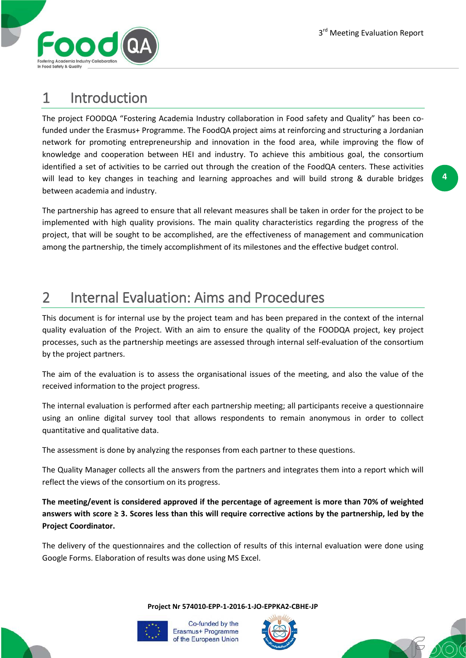

### 1 Introduction

The project FOODQA "Fostering Academia Industry collaboration in Food safety and Quality" has been cofunded under the Erasmus+ Programme. The FoodQA project aims at reinforcing and structuring a Jordanian network for promoting entrepreneurship and innovation in the food area, while improving the flow of knowledge and cooperation between HEI and industry. To achieve this ambitious goal, the consortium identified a set of activities to be carried out through the creation of the FoodQA centers. These activities will lead to key changes in teaching and learning approaches and will build strong & durable bridges between academia and industry.

The partnership has agreed to ensure that all relevant measures shall be taken in order for the project to be implemented with high quality provisions. The main quality characteristics regarding the progress of the project, that will be sought to be accomplished, are the effectiveness of management and communication among the partnership, the timely accomplishment of its milestones and the effective budget control.

### 2 Internal Evaluation: Aims and Procedures

This document is for internal use by the project team and has been prepared in the context of the internal quality evaluation of the Project. With an aim to ensure the quality of the FOODQA project, key project processes, such as the partnership meetings are assessed through internal self-evaluation of the consortium by the project partners.

The aim of the evaluation is to assess the organisational issues of the meeting, and also the value of the received information to the project progress.

The internal evaluation is performed after each partnership meeting; all participants receive a questionnaire using an online digital survey tool that allows respondents to remain anonymous in order to collect quantitative and qualitative data.

The assessment is done by analyzing the responses from each partner to these questions.

The Quality Manager collects all the answers from the partners and integrates them into a report which will reflect the views of the consortium on its progress.

**The meeting/event is considered approved if the percentage of agreement is more than 70% of weighted answers with score ≥ 3. Scores less than this will require corrective actions by the partnership, led by the Project Coordinator.**

The delivery of the questionnaires and the collection of results of this internal evaluation were done using Google Forms. Elaboration of results was done using MS Excel.

**Project Nr 574010-EPP-1-2016-1-JO-EPPKA2-CBHE-JP**





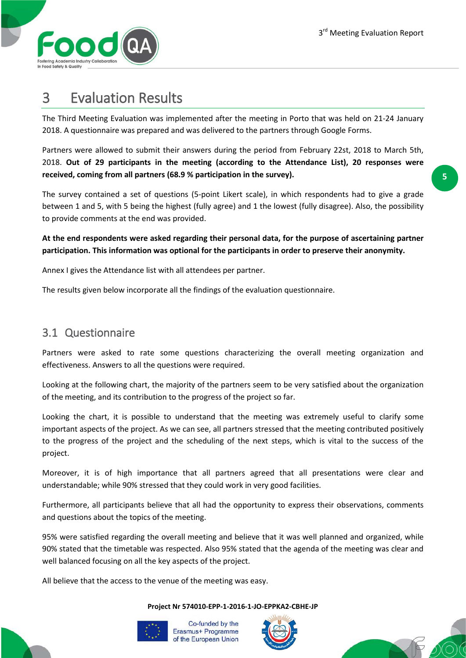

### 3 Evaluation Results

The Third Meeting Evaluation was implemented after the meeting in Porto that was held on 21-24 January 2018. A questionnaire was prepared and was delivered to the partners through Google Forms.

Partners were allowed to submit their answers during the period from February 22st, 2018 to March 5th, 2018. **Out of 29 participants in the meeting (according to the Attendance List), 20 responses were received, coming from all partners (68.9 % participation in the survey).**

The survey contained a set of questions (5-point Likert scale), in which respondents had to give a grade between 1 and 5, with 5 being the highest (fully agree) and 1 the lowest (fully disagree). Also, the possibility to provide comments at the end was provided.

**At the end respondents were asked regarding their personal data, for the purpose of ascertaining partner participation. This information was optional for the participants in order to preserve their anonymity.**

Annex I gives the Attendance list with all attendees per partner.

The results given below incorporate all the findings of the evaluation questionnaire.

#### 3.1 Questionnaire

Partners were asked to rate some questions characterizing the overall meeting organization and effectiveness. Answers to all the questions were required.

Looking at the following chart, the majority of the partners seem to be very satisfied about the organization of the meeting, and its contribution to the progress of the project so far.

Looking the chart, it is possible to understand that the meeting was extremely useful to clarify some important aspects of the project. As we can see, all partners stressed that the meeting contributed positively to the progress of the project and the scheduling of the next steps, which is vital to the success of the project.

Moreover, it is of high importance that all partners agreed that all presentations were clear and understandable; while 90% stressed that they could work in very good facilities.

Furthermore, all participants believe that all had the opportunity to express their observations, comments and questions about the topics of the meeting.

95% were satisfied regarding the overall meeting and believe that it was well planned and organized, while 90% stated that the timetable was respected. Also 95% stated that the agenda of the meeting was clear and well balanced focusing on all the key aspects of the project.

All believe that the access to the venue of the meeting was easy.

#### **Project Nr 574010-EPP-1-2016-1-JO-EPPKA2-CBHE-JP**





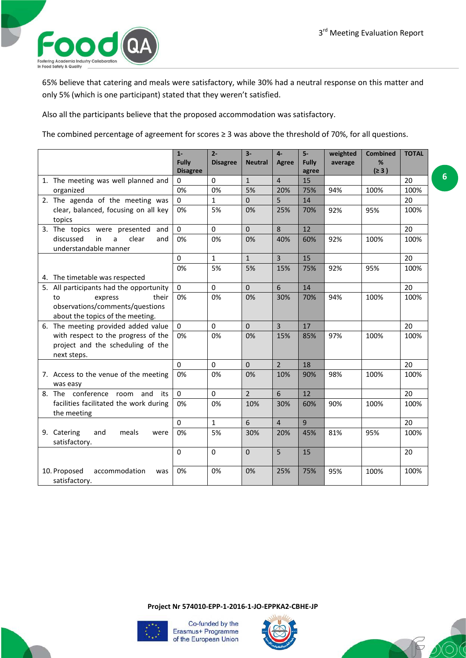

65% believe that catering and meals were satisfactory, while 30% had a neutral response on this matter and only 5% (which is one participant) stated that they weren't satisfied.

Also all the participants believe that the proposed accommodation was satisfactory.

The combined percentage of agreement for scores ≥ 3 was above the threshold of 70%, for all questions.

|                                                       | $1-$                            | $2 -$           | $3-$           | $4-$            | $5-$           | weighted | <b>Combined</b> | <b>TOTAL</b> |
|-------------------------------------------------------|---------------------------------|-----------------|----------------|-----------------|----------------|----------|-----------------|--------------|
|                                                       | <b>Fully</b><br><b>Disagree</b> | <b>Disagree</b> | <b>Neutral</b> | <b>Agree</b>    | <b>Fully</b>   | average  | %<br>(≥ 3)      |              |
| 1. The meeting was well planned and                   | 0                               | $\Omega$        | $\overline{1}$ | $\overline{4}$  | agree<br>15    |          |                 | 20           |
| organized                                             | 0%                              | 0%              | 5%             | 20%             | 75%            | 94%      | 100%            | 100%         |
| 2. The agenda of the meeting was                      | $\mathbf{0}$                    | $\mathbf{1}$    | $\Omega$       | 5               | 14             |          |                 | 20           |
| clear, balanced, focusing on all key                  | 0%                              | 5%              | 0%             | 25%             | 70%            | 92%      | 95%             | 100%         |
| topics                                                |                                 |                 |                |                 |                |          |                 |              |
| 3. The topics were presented and                      | $\Omega$                        | $\mathbf 0$     | $\mathbf 0$    | 8               | 12             |          |                 | 20           |
| discussed<br>in<br>clear<br>a<br>and                  | 0%                              | 0%              | 0%             | 40%             | 60%            | 92%      | 100%            | 100%         |
| understandable manner                                 |                                 |                 |                |                 |                |          |                 |              |
|                                                       | $\Omega$                        | $\mathbf{1}$    | $\mathbf{1}$   | $\overline{3}$  | 15             |          |                 | 20           |
|                                                       | 0%                              | 5%              | 5%             | 15%             | 75%            | 92%      | 95%             | 100%         |
| 4. The timetable was respected                        |                                 |                 |                |                 |                |          |                 |              |
| 5. All participants had the opportunity               | $\mathbf{0}$                    | $\Omega$        | $\mathbf{0}$   | $6\phantom{a}$  | 14             |          |                 | 20           |
| express<br>their<br>to                                | 0%                              | 0%              | 0%             | 30%             | 70%            | 94%      | 100%            | 100%         |
| observations/comments/questions                       |                                 |                 |                |                 |                |          |                 |              |
| about the topics of the meeting.                      |                                 |                 |                |                 |                |          |                 |              |
| 6. The meeting provided added value                   | $\mathbf 0$                     | $\mathbf 0$     | $\mathbf 0$    | $\overline{3}$  | 17             |          |                 | 20           |
| with respect to the progress of the                   | 0%                              | 0%              | 0%             | 15%             | 85%            | 97%      | 100%            | 100%         |
| project and the scheduling of the                     |                                 |                 |                |                 |                |          |                 |              |
| next steps.                                           |                                 |                 |                |                 |                |          |                 |              |
|                                                       | $\Omega$                        | $\Omega$        | $\Omega$       | $\overline{2}$  | 18             |          |                 | 20           |
| 7. Access to the venue of the meeting                 | 0%                              | 0%              | 0%             | 10%             | 90%            | 98%      | 100%            | 100%         |
| was easy                                              |                                 |                 | $\overline{2}$ |                 |                |          |                 |              |
| 8. The conference room<br>and<br>its                  | $\mathbf 0$                     | $\mathbf 0$     |                | $6\overline{6}$ | 12             |          |                 | 20           |
| facilities facilitated the work during<br>the meeting | 0%                              | 0%              | 10%            | 30%             | 60%            | 90%      | 100%            | 100%         |
|                                                       | $\Omega$                        | $\mathbf{1}$    | $6\phantom{1}$ | $\overline{4}$  | $\overline{9}$ |          |                 | 20           |
| 9. Catering<br>and<br>meals<br>were                   | 0%                              | 5%              | 30%            | 20%             | 45%            | 81%      | 95%             | 100%         |
| satisfactory.                                         |                                 |                 |                |                 |                |          |                 |              |
|                                                       | $\mathbf 0$                     | $\mathbf 0$     | $\mathbf 0$    | 5               | 15             |          |                 | 20           |
|                                                       |                                 |                 |                |                 |                |          |                 |              |
| 10. Proposed<br>accommodation<br>was                  | 0%                              | 0%              | 0%             | 25%             | 75%            | 95%      | 100%            | 100%         |
| satisfactory.                                         |                                 |                 |                |                 |                |          |                 |              |

**Project Nr 574010-EPP-1-2016-1-JO-EPPKA2-CBHE-JP**





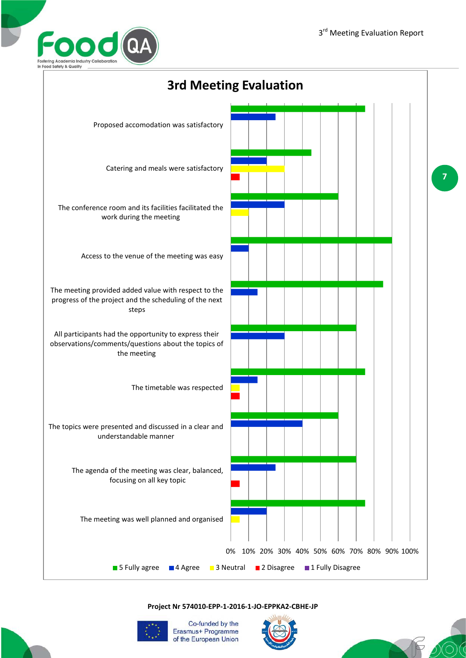



**Project Nr 574010-EPP-1-2016-1-JO-EPPKA2-CBHE-JP**



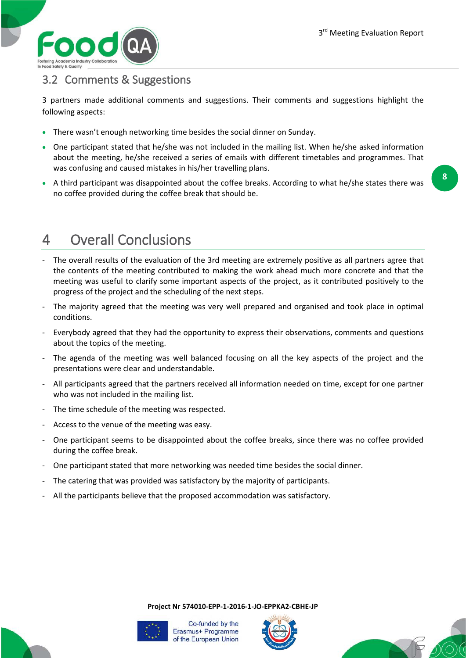

### 3.2 Comments & Suggestions

3 partners made additional comments and suggestions. Their comments and suggestions highlight the following aspects:

- There wasn't enough networking time besides the social dinner on Sunday.
- One participant stated that he/she was not included in the mailing list. When he/she asked information about the meeting, he/she received a series of emails with different timetables and programmes. That was confusing and caused mistakes in his/her travelling plans.
- A third participant was disappointed about the coffee breaks. According to what he/she states there was no coffee provided during the coffee break that should be.

**8**

# 4 Overall Conclusions

- The overall results of the evaluation of the 3rd meeting are extremely positive as all partners agree that the contents of the meeting contributed to making the work ahead much more concrete and that the meeting was useful to clarify some important aspects of the project, as it contributed positively to the progress of the project and the scheduling of the next steps.
- The majority agreed that the meeting was very well prepared and organised and took place in optimal conditions.
- Everybody agreed that they had the opportunity to express their observations, comments and questions about the topics of the meeting.
- The agenda of the meeting was well balanced focusing on all the key aspects of the project and the presentations were clear and understandable.
- All participants agreed that the partners received all information needed on time, except for one partner who was not included in the mailing list.
- The time schedule of the meeting was respected.
- Access to the venue of the meeting was easy.
- One participant seems to be disappointed about the coffee breaks, since there was no coffee provided during the coffee break.
- One participant stated that more networking was needed time besides the social dinner.
- The catering that was provided was satisfactory by the majority of participants.
- All the participants believe that the proposed accommodation was satisfactory.

**Project Nr 574010-EPP-1-2016-1-JO-EPPKA2-CBHE-JP**





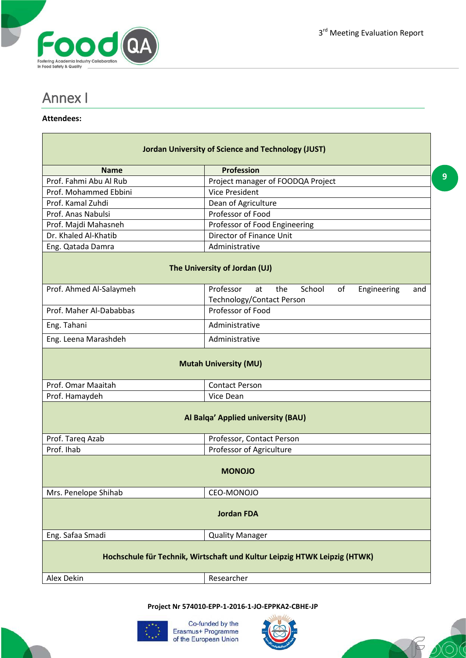**9**



### Annex I

#### **Attendees:**

Н

| <b>Jordan University of Science and Technology (JUST)</b>                 |                                                                                                  |  |  |  |  |
|---------------------------------------------------------------------------|--------------------------------------------------------------------------------------------------|--|--|--|--|
| <b>Name</b>                                                               | Profession                                                                                       |  |  |  |  |
| Prof. Fahmi Abu Al Rub                                                    | Project manager of FOODQA Project                                                                |  |  |  |  |
| Prof. Mohammed Ebbini                                                     | <b>Vice President</b>                                                                            |  |  |  |  |
| Prof. Kamal Zuhdi                                                         | Dean of Agriculture                                                                              |  |  |  |  |
| Prof. Anas Nabulsi                                                        | Professor of Food                                                                                |  |  |  |  |
| Prof. Majdi Mahasneh                                                      | Professor of Food Engineering                                                                    |  |  |  |  |
| Dr. Khaled Al-Khatib                                                      | Director of Finance Unit                                                                         |  |  |  |  |
| Eng. Qatada Damra                                                         | Administrative                                                                                   |  |  |  |  |
| The University of Jordan (UJ)                                             |                                                                                                  |  |  |  |  |
| Prof. Ahmed Al-Salaymeh                                                   | Professor<br>the<br>School<br>of<br>at<br>Engineering<br>and<br><b>Technology/Contact Person</b> |  |  |  |  |
| Prof. Maher Al-Dababbas                                                   | Professor of Food                                                                                |  |  |  |  |
| Eng. Tahani                                                               | Administrative                                                                                   |  |  |  |  |
| Eng. Leena Marashdeh                                                      | Administrative                                                                                   |  |  |  |  |
| <b>Mutah University (MU)</b>                                              |                                                                                                  |  |  |  |  |
| Prof. Omar Maaitah                                                        | <b>Contact Person</b>                                                                            |  |  |  |  |
| Prof. Hamaydeh                                                            | Vice Dean                                                                                        |  |  |  |  |
| Al Balqa' Applied university (BAU)                                        |                                                                                                  |  |  |  |  |
| Prof. Tareg Azab                                                          | Professor, Contact Person                                                                        |  |  |  |  |
| Prof. Ihab                                                                | Professor of Agriculture                                                                         |  |  |  |  |
| <b>MONOJO</b>                                                             |                                                                                                  |  |  |  |  |
| Mrs. Penelope Shihab                                                      | CEO-MONOJO                                                                                       |  |  |  |  |
| <b>Jordan FDA</b>                                                         |                                                                                                  |  |  |  |  |
| Eng. Safaa Smadi                                                          | <b>Quality Manager</b>                                                                           |  |  |  |  |
| Hochschule für Technik, Wirtschaft und Kultur Leipzig HTWK Leipzig (HTWK) |                                                                                                  |  |  |  |  |
| Alex Dekin                                                                | Researcher                                                                                       |  |  |  |  |

**Project Nr 574010-EPP-1-2016-1-JO-EPPKA2-CBHE-JP**